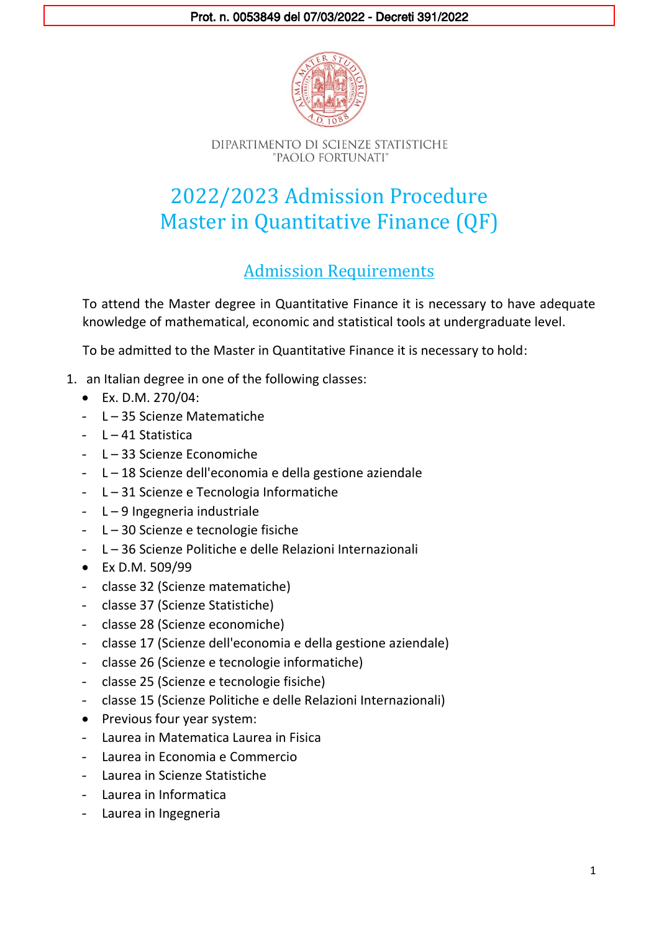

# 2022/2023 Admission Procedure Master in Quantitative Finance (QF)

## Admission Requirements

To attend the Master degree in Quantitative Finance it is necessary to have adequate knowledge of mathematical, economic and statistical tools at undergraduate level.

To be admitted to the Master in Quantitative Finance it is necessary to hold:

- 1. an Italian degree in one of the following classes:
	- Ex. D.M. 270/04:
	- L 35 Scienze Matematiche
	- $-1 41$  Statistica
	- L 33 Scienze Economiche
	- L 18 Scienze dell'economia e della gestione aziendale
	- L 31 Scienze e Tecnologia Informatiche
	- L 9 Ingegneria industriale
	- L 30 Scienze e tecnologie fisiche
	- L 36 Scienze Politiche e delle Relazioni Internazionali
	- Ex D.M. 509/99
	- classe 32 (Scienze matematiche)
	- classe 37 (Scienze Statistiche)
	- classe 28 (Scienze economiche)
	- classe 17 (Scienze dell'economia e della gestione aziendale)
	- classe 26 (Scienze e tecnologie informatiche)
	- classe 25 (Scienze e tecnologie fisiche)
	- classe 15 (Scienze Politiche e delle Relazioni Internazionali)
	- Previous four year system:
	- Laurea in Matematica Laurea in Fisica
	- Laurea in Economia e Commercio
	- Laurea in Scienze Statistiche
	- Laurea in Informatica
	- Laurea in Ingegneria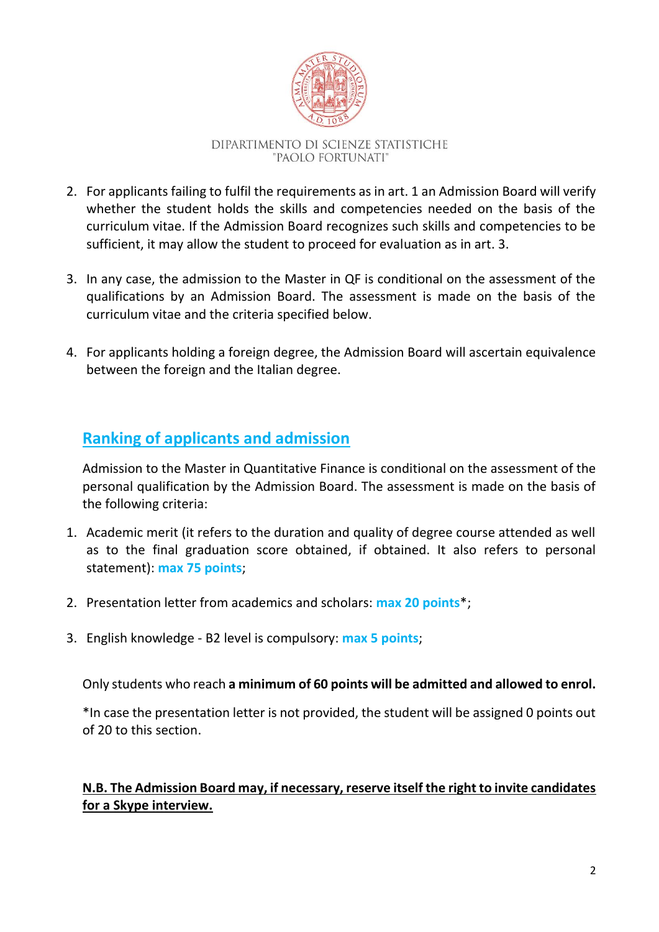

- 2. For applicants failing to fulfil the requirements as in art. 1 an Admission Board will verify whether the student holds the skills and competencies needed on the basis of the curriculum vitae. If the Admission Board recognizes such skills and competencies to be sufficient, it may allow the student to proceed for evaluation as in art. 3.
- 3. In any case, the admission to the Master in QF is conditional on the assessment of the qualifications by an Admission Board. The assessment is made on the basis of the curriculum vitae and the criteria specified below.
- 4. For applicants holding a foreign degree, the Admission Board will ascertain equivalence between the foreign and the Italian degree.

## **Ranking of applicants and admission**

Admission to the Master in Quantitative Finance is conditional on the assessment of the personal qualification by the Admission Board. The assessment is made on the basis of the following criteria:

- 1. Academic merit (it refers to the duration and quality of degree course attended as well as to the final graduation score obtained, if obtained. It also refers to personal statement): **max 75 points**;
- 2. Presentation letter from academics and scholars: **max 20 points**\*;
- 3. English knowledge B2 level is compulsory: **max 5 points**;

Only students who reach **a minimum of 60 points will be admitted and allowed to enrol.**

\*In case the presentation letter is not provided, the student will be assigned 0 points out of 20 to this section.

#### **N.B. The Admission Board may, if necessary, reserve itself the right to invite candidates for a Skype interview.**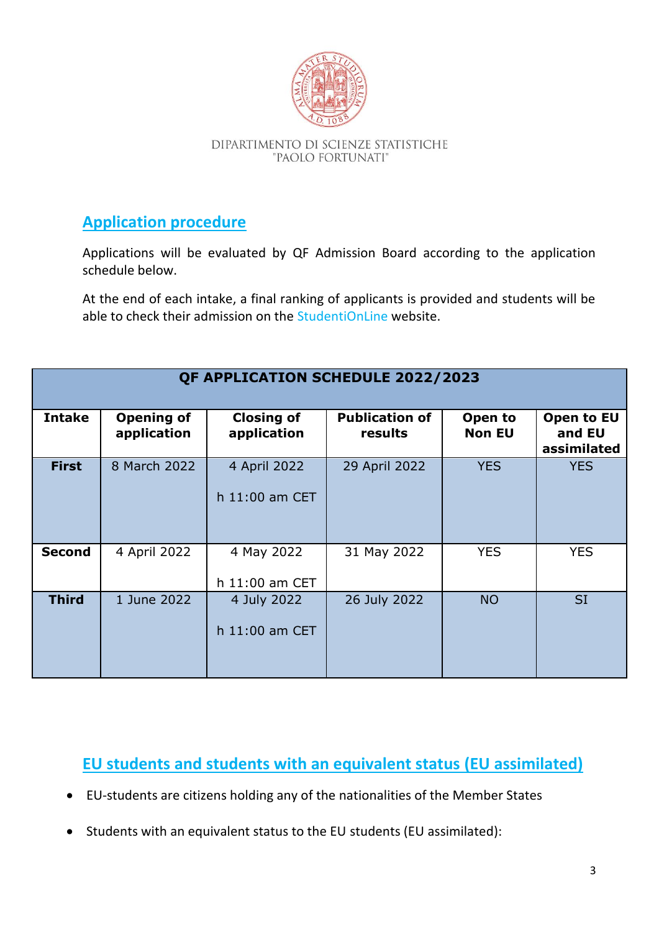

## **Application procedure**

Applications will be evaluated by QF Admission Board according to the application schedule below.

At the end of each intake, a final ranking of applicants is provided and students will be able to check their admission on the [StudentiOnLine](https://cas.unibo.it/cas/login?service=https%3A%2F%2Fstudenti.unibo.it%2Fsol%2Fstudenti%2Fj_acegi_cas_security_check%3Bjsessionid%3D05500AEFA2D19C277525F29C7A521CAD.uri-joss2&cas_aware_sessionid=05500AEFA2D19C277525F29C7A521CAD.uri-joss2) website.

| <b>QF APPLICATION SCHEDULE 2022/2023</b> |                                  |                                  |                                  |                          |                                     |
|------------------------------------------|----------------------------------|----------------------------------|----------------------------------|--------------------------|-------------------------------------|
| <b>Intake</b>                            | <b>Opening of</b><br>application | <b>Closing of</b><br>application | <b>Publication of</b><br>results | Open to<br><b>Non EU</b> | Open to EU<br>and EU<br>assimilated |
| <b>First</b>                             | 8 March 2022                     | 4 April 2022<br>h 11:00 am CET   | 29 April 2022                    | <b>YES</b>               | <b>YES</b>                          |
| <b>Second</b>                            | 4 April 2022                     | 4 May 2022<br>h 11:00 am CET     | 31 May 2022                      | <b>YES</b>               | <b>YES</b>                          |
| <b>Third</b>                             | 1 June 2022                      | 4 July 2022<br>h 11:00 am CET    | 26 July 2022                     | <b>NO</b>                | <b>SI</b>                           |

**EU students and students with an equivalent status (EU assimilated)**

- EU-students are citizens holding any of the nationalities of the Member States
- Students with an equivalent status to the EU students (EU assimilated):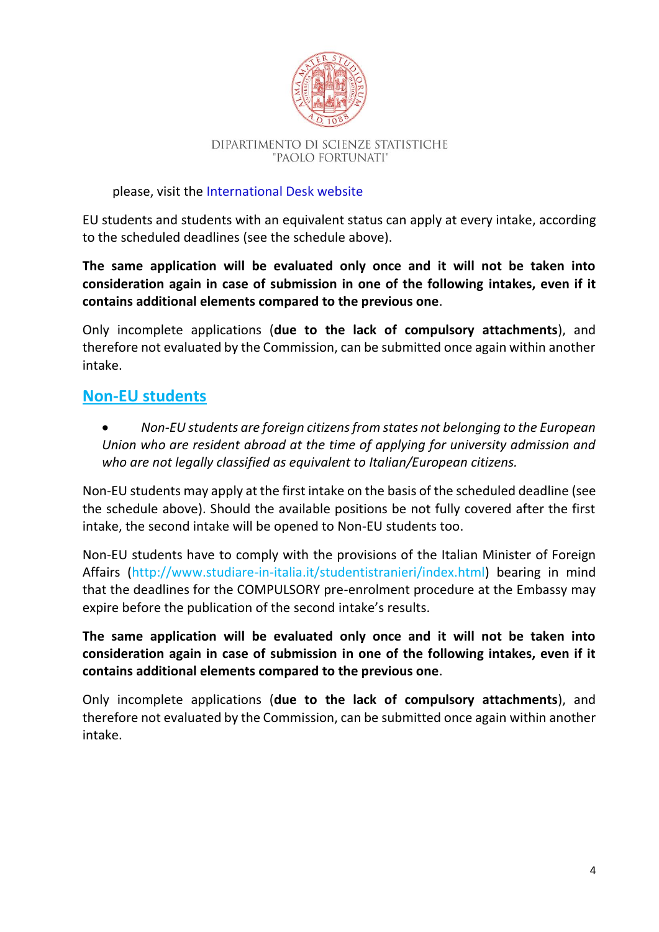

#### please, visit the [International Desk website](https://www.unibo.it/en/international/Who-are-international-students)

EU students and students with an equivalent status can apply at every intake, according to the scheduled deadlines (see the schedule above).

**The same application will be evaluated only once and it will not be taken into consideration again in case of submission in one of the following intakes, even if it contains additional elements compared to the previous one**.

Only incomplete applications (**due to the lack of compulsory attachments**), and therefore not evaluated by the Commission, can be submitted once again within another intake.

### **Non-EU students**

 *Non-EU students are foreign citizens from states not belonging to the European Union who are resident abroad at the time of applying for university admission and who are not legally classified as equivalent to Italian/European citizens.*

Non-EU students may apply at the first intake on the basis of the scheduled deadline (see the schedule above). Should the available positions be not fully covered after the first intake, the second intake will be opened to Non-EU students too.

Non-EU students have to comply with the provisions of the Italian Minister of Foreign Affairs [\(http://www.studiare-in-italia.it/studentistranieri/index.html\)](http://www.studiare-in-italia.it/studentistranieri/index.html) bearing in mind that the deadlines for the COMPULSORY pre-enrolment procedure at the Embassy may expire before the publication of the second intake's results.

**The same application will be evaluated only once and it will not be taken into consideration again in case of submission in one of the following intakes, even if it contains additional elements compared to the previous one**.

Only incomplete applications (**due to the lack of compulsory attachments**), and therefore not evaluated by the Commission, can be submitted once again within another intake.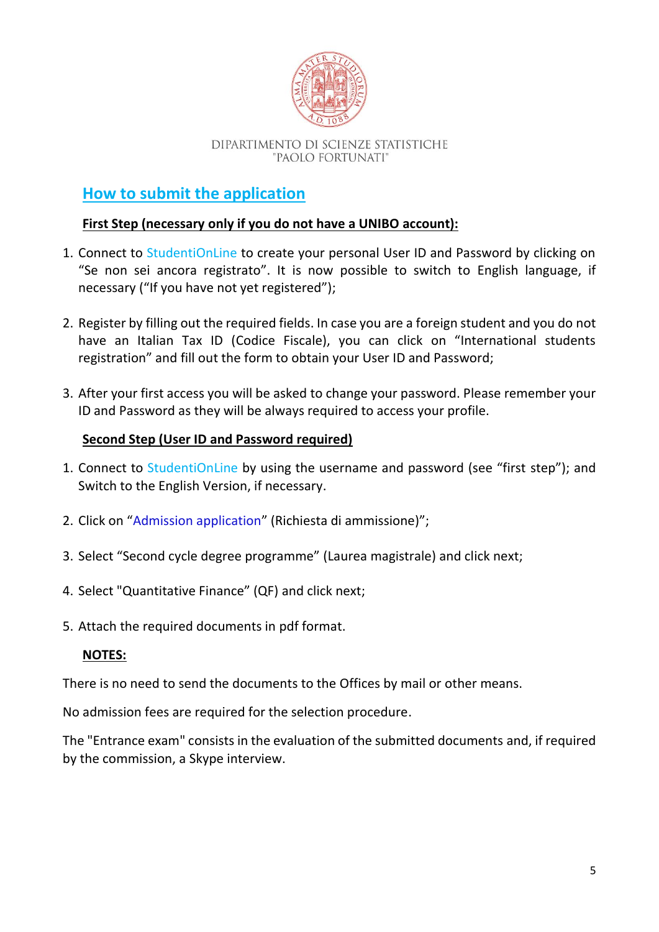

## **How to submit the application**

#### **First Step (necessary only if you do not have a UNIBO account):**

- 1. Connect to [StudentiOnLine](https://studenti.unibo.it/sol/welcome.htm?siteLanguage=en) to create your personal User ID and Password by clicking on "Se non sei ancora registrato". It is now possible to switch to English language, if necessary ("If you have not yet registered");
- 2. Register by filling out the required fields. In case you are a foreign student and you do not have an Italian Tax ID (Codice Fiscale), you can click on "International students registration" and fill out the form to obtain your User ID and Password;
- 3. After your first access you will be asked to change your password. Please remember your ID and Password as they will be always required to access your profile.

#### **Second Step (User ID and Password required)**

- 1. Connect to [StudentiOnLine](https://cas.unibo.it/cas/login?service=https%3A%2F%2Fstudenti.unibo.it%2Fsol%2Fstudenti%2Fj_acegi_cas_security_check%3Bjsessionid%3D631A258BF1315F2E5031D8A156D359B3.uri-joss4&cas_aware_sessionid=631A258BF1315F2E5031D8A156D359B3.uri-joss4) by using the username and password (see "first step"); and Switch to the English Version, if necessary.
- 2. Click on "[Admission application](https://studenti.unibo.it/sol/studenti/provaAmmissione.htm)" (Richiesta di ammissione)";
- 3. Select "Second cycle degree programme" (Laurea magistrale) and click next;
- 4. Select "Quantitative Finance" (QF) and click next;
- 5. Attach the required documents in pdf format.

#### **NOTES:**

There is no need to send the documents to the Offices by mail or other means.

No admission fees are required for the selection procedure.

The "Entrance exam" consists in the evaluation of the submitted documents and, if required by the commission, a Skype interview.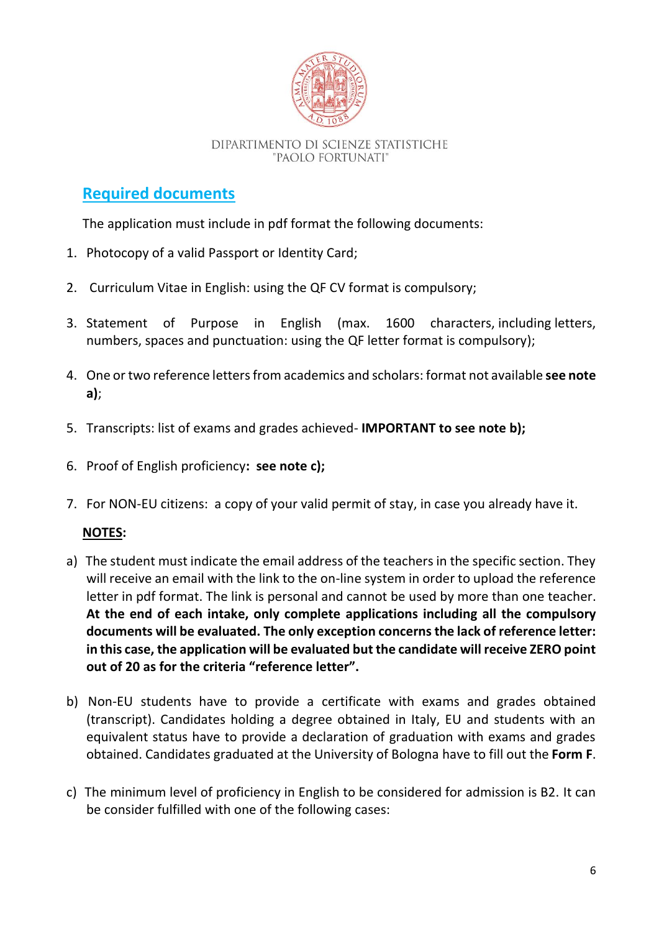

## **Required documents**

The application must include in pdf format the following documents:

- 1. Photocopy of a valid Passport or Identity Card;
- 2. Curriculum Vitae in English: using the QF CV format is compulsory;
- 3. Statement of Purpose in English (max. 1600 characters, including letters, numbers, spaces and punctuation: using the QF letter format is compulsory);
- 4. One or two reference letters from academics and scholars: format not available **see note a)**;
- 5. Transcripts: list of exams and grades achieved- **IMPORTANT to see note b);**
- 6. Proof of English proficiency**: see note c);**
- 7. For NON-EU citizens: a copy of your valid permit of stay, in case you already have it.

#### **NOTES:**

- a) The student must indicate the email address of the teachers in the specific section. They will receive an email with the link to the on-line system in order to upload the reference letter in pdf format. The link is personal and cannot be used by more than one teacher. **At the end of each intake, only complete applications including all the compulsory documents will be evaluated. The only exception concerns the lack of reference letter: in this case, the application will be evaluated but the candidate will receive ZERO point out of 20 as for the criteria "reference letter".**
- b) Non-EU students have to provide a certificate with exams and grades obtained (transcript). Candidates holding a degree obtained in Italy, EU and students with an equivalent status have to provide a declaration of graduation with exams and grades obtained. Candidates graduated at the University of Bologna have to fill out the **Form F**.
- c) The minimum level of proficiency in English to be considered for admission is B2. It can be consider fulfilled with one of the following cases: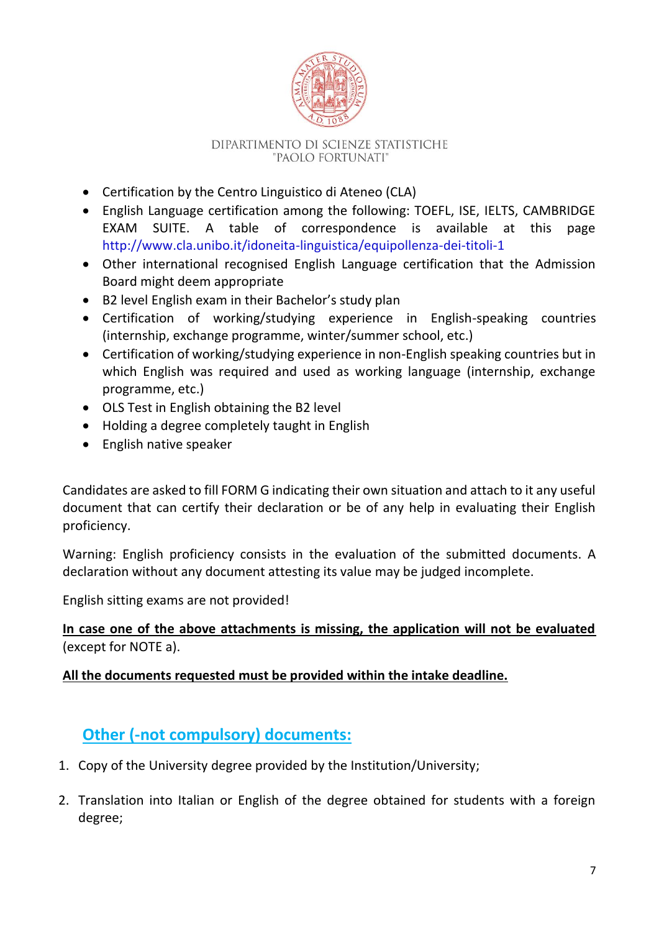

- Certification by the Centro Linguistico di Ateneo (CLA)
- English Language certification among the following: TOEFL, ISE, IELTS, CAMBRIDGE EXAM SUITE. A table of correspondence is available at this page <http://www.cla.unibo.it/idoneita-linguistica/equipollenza-dei-titoli-1>
- Other international recognised English Language certification that the Admission Board might deem appropriate
- B2 level English exam in their Bachelor's study plan
- Certification of working/studying experience in English-speaking countries (internship, exchange programme, winter/summer school, etc.)
- Certification of working/studying experience in non-English speaking countries but in which English was required and used as working language (internship, exchange programme, etc.)
- OLS Test in English obtaining the B2 level
- Holding a degree completely taught in English
- English native speaker

Candidates are asked to fill FORM G indicating their own situation and attach to it any useful document that can certify their declaration or be of any help in evaluating their English proficiency.

Warning: English proficiency consists in the evaluation of the submitted documents. A declaration without any document attesting its value may be judged incomplete.

English sitting exams are not provided!

#### **In case one of the above attachments is missing, the application will not be evaluated**  (except for NOTE a).

#### **All the documents requested must be provided within the intake deadline.**

## **Other (-not compulsory) documents:**

- 1. Copy of the University degree provided by the Institution/University;
- 2. Translation into Italian or English of the degree obtained for students with a foreign degree;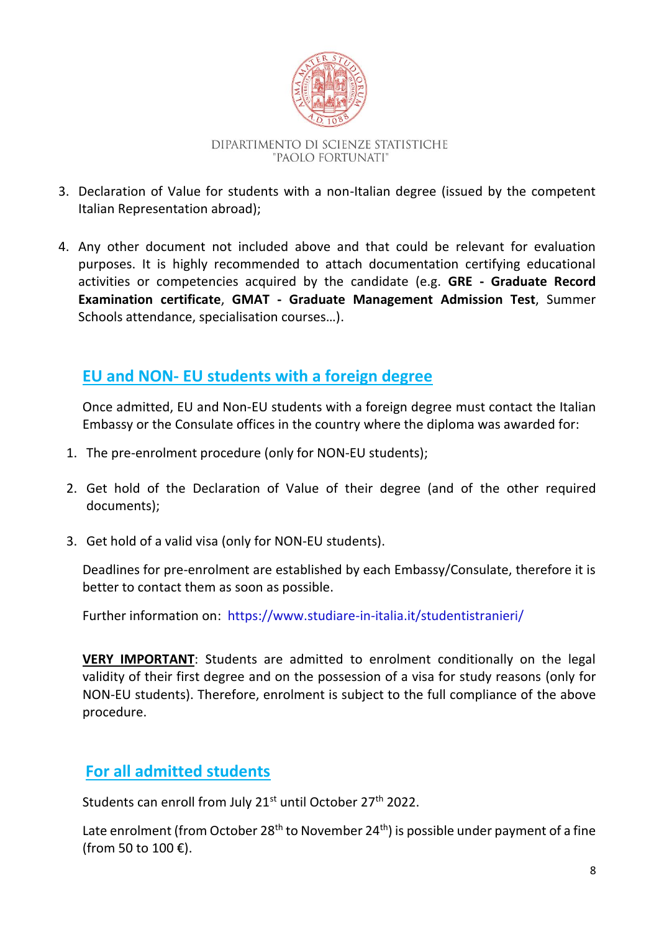

- 3. Declaration of Value for students with a non-Italian degree (issued by the competent Italian Representation abroad);
- 4. Any other document not included above and that could be relevant for evaluation purposes. It is highly recommended to attach documentation certifying educational activities or competencies acquired by the candidate (e.g. **GRE - Graduate Record Examination certificate**, **GMAT - Graduate Management Admission Test**, Summer Schools attendance, specialisation courses…).

## **EU and NON- EU students with a foreign degree**

Once admitted, EU and Non-EU students with a foreign degree must contact the Italian Embassy or the Consulate offices in the country where the diploma was awarded for:

- 1. The pre-enrolment procedure (only for NON-EU students);
- 2. Get hold of the Declaration of Value of their degree (and of the other required documents);
- 3. Get hold of a valid visa (only for NON-EU students).

Deadlines for pre-enrolment are established by each Embassy/Consulate, therefore it is better to contact them as soon as possible.

Further information on: <https://www.studiare-in-italia.it/studentistranieri/>

**VERY IMPORTANT**: Students are admitted to enrolment conditionally on the legal validity of their first degree and on the possession of a visa for study reasons (only for NON-EU students). Therefore, enrolment is subject to the full compliance of the above procedure.

## **For all admitted students**

Students can enroll from July 21<sup>st</sup> until October 27<sup>th</sup> 2022.

Late enrolment (from October 28<sup>th</sup> to November 24<sup>th</sup>) is possible under payment of a fine (from 50 to 100 €).